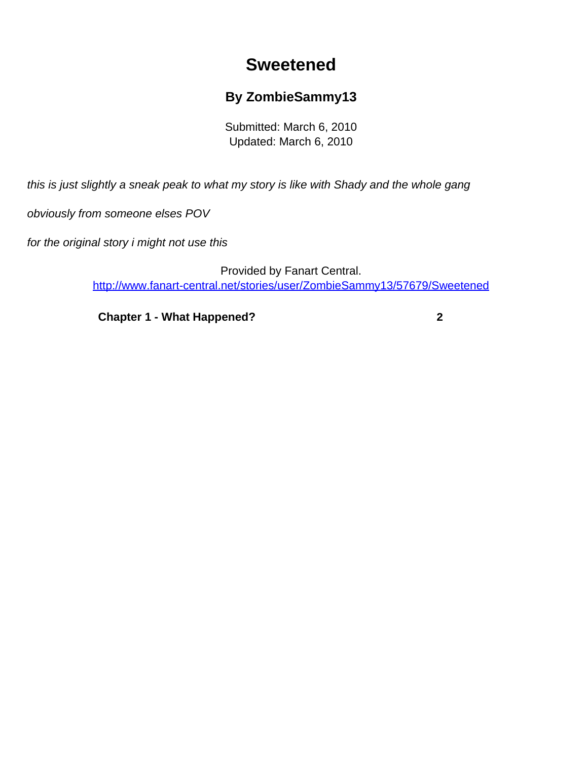## **Sweetened**

## **By ZombieSammy13**

Submitted: March 6, 2010 Updated: March 6, 2010

<span id="page-0-0"></span>this is just slightly a sneak peak to what my story is like with Shady and the whole gang

obviously from someone elses POV

for the original story i might not use this

Provided by Fanart Central. [http://www.fanart-central.net/stories/user/ZombieSammy13/57679/Sweetened](#page-0-0)

**[Chapter 1 - What Happened?](#page-1-0) [2](#page-1-0)**